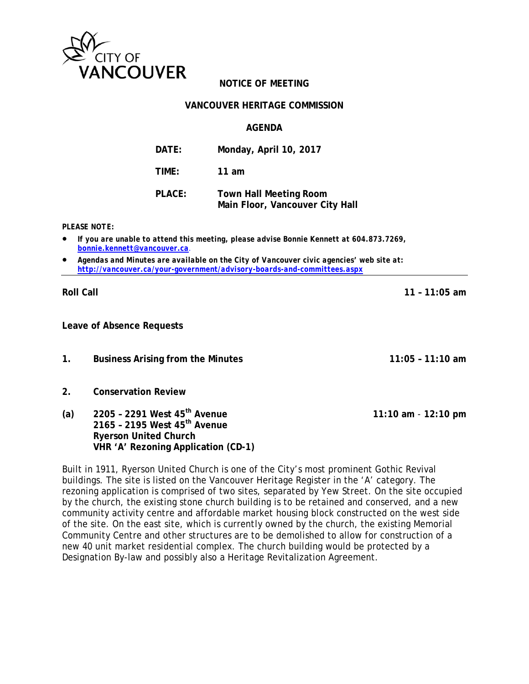

# **NOTICE OF MEETING**

#### **VANCOUVER HERITAGE COMMISSION**

#### **AGENDA**

| DATE:  | Monday, April 10, 2017                                           |
|--------|------------------------------------------------------------------|
| TIME:  | 11 am                                                            |
| PLACE: | <b>Town Hall Meeting Room</b><br>Main Floor, Vancouver City Hall |

*PLEASE NOTE:* 

- *If you are unable to attend this meeting, please advise Bonnie Kennett at 604.873.7269, bonnie.kennett@vancouver.ca*.
- *Agendas and Minutes are available on the City of Vancouver civic agencies' web site at: http://vancouver.ca/your-government/advisory-boards-and-committees.aspx*

**Roll Call 11 – 11:05 am** 

**Leave of Absence Requests** 

**1. Business Arising from the Minutes 11:05 – 11:10 am**

- **2. Conservation Review**
- **(a) 2205 2291 West 45th Avenue 11:10 am** - **12:10 pm 2165 – 2195 West 45th Avenue Ryerson United Church VHR 'A' Rezoning Application (CD-1)**

Built in 1911, Ryerson United Church is one of the City's most prominent Gothic Revival buildings. The site is listed on the Vancouver Heritage Register in the 'A' category. The rezoning application is comprised of two sites, separated by Yew Street. On the site occupied by the church, the existing stone church building is to be retained and conserved, and a new community activity centre and affordable market housing block constructed on the west side of the site. On the east site, which is currently owned by the church, the existing Memorial Community Centre and other structures are to be demolished to allow for construction of a new 40 unit market residential complex. The church building would be protected by a Designation By-law and possibly also a Heritage Revitalization Agreement.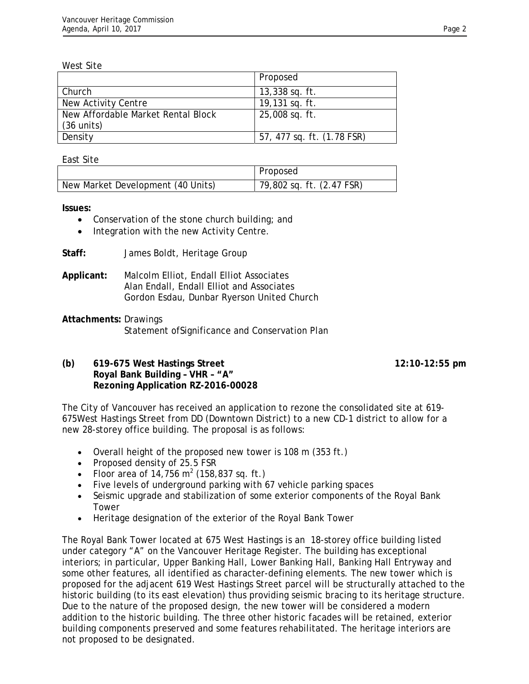West Site

|                                    | Proposed                   |
|------------------------------------|----------------------------|
| Church                             | $13,338$ sq. ft.           |
| New Activity Centre                | 19,131 sq. ft.             |
| New Affordable Market Rental Block | 25,008 sq. ft.             |
| $(36 \text{ units})$               |                            |
| Density                            | 57, 477 sq. ft. (1.78 FSR) |

East Site

|                                   | Proposed                   |
|-----------------------------------|----------------------------|
| New Market Development (40 Units) | 179,802 sq. ft. (2.47 FSR) |

**Issues:** 

- Conservation of the stone church building; and
- Integration with the new Activity Centre.
- **Staff:** James Boldt, Heritage Group
- **Applicant:** Malcolm Elliot, Endall Elliot Associates Alan Endall, Endall Elliot and Associates Gordon Esdau, Dunbar Ryerson United Church
- **Attachments:** Drawings Statement ofSignificance and Conservation Plan

## **(b) 619-675 West Hastings Street 12:10-12:55 pm Royal Bank Building – VHR – "A" Rezoning Application RZ-2016-00028**

The City of Vancouver has received an application to rezone the consolidated site at 619- 675West Hastings Street from DD (Downtown District) to a new CD-1 district to allow for a new 28-storey office building. The proposal is as follows:

- Overall height of the proposed new tower is 108 m (353 ft.)
- Proposed density of 25.5 FSR
- Floor area of  $14,756 \text{ m}^2$  (158,837 sq. ft.)
- Five levels of underground parking with 67 vehicle parking spaces
- Seismic upgrade and stabilization of some exterior components of the Royal Bank Tower
- Heritage designation of the exterior of the Royal Bank Tower

The Royal Bank Tower located at 675 West Hastings is an 18-storey office building listed under category "A" on the Vancouver Heritage Register. The building has exceptional interiors; in particular, Upper Banking Hall, Lower Banking Hall, Banking Hall Entryway and some other features, all identified as character-defining elements. The new tower which is proposed for the adjacent 619 West Hastings Street parcel will be structurally attached to the historic building (to its east elevation) thus providing seismic bracing to its heritage structure. Due to the nature of the proposed design, the new tower will be considered a modern addition to the historic building. The three other historic facades will be retained, exterior building components preserved and some features rehabilitated. The heritage interiors are not proposed to be designated.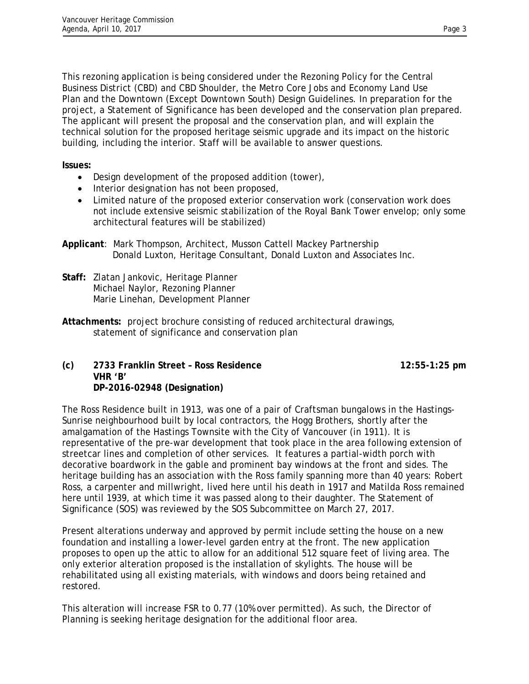This rezoning application is being considered under the Rezoning Policy for the Central Business District (CBD) and CBD Shoulder, the Metro Core Jobs and Economy Land Use Plan and the Downtown (Except Downtown South) Design Guidelines. In preparation for the project, a Statement of Significance has been developed and the conservation plan prepared. The applicant will present the proposal and the conservation plan, and will explain the technical solution for the proposed heritage seismic upgrade and its impact on the historic building, including the interior. Staff will be available to answer questions.

**Issues:**

- Design development of the proposed addition (tower),
- Interior designation has not been proposed,
- Limited nature of the proposed exterior conservation work (conservation work does not include extensive seismic stabilization of the Royal Bank Tower envelop; only some architectural features will be stabilized)
- **Applicant**: Mark Thompson, Architect, Musson Cattell Mackey Partnership Donald Luxton, Heritage Consultant, Donald Luxton and Associates Inc.
- **Staff:** Zlatan Jankovic, Heritage Planner Michael Naylor, Rezoning Planner Marie Linehan, Development Planner
- **Attachments:** project brochure consisting of reduced architectural drawings, statement of significance and conservation plan

**(c) 2733 Franklin Street – Ross Residence 12:55-1:25 pm VHR 'B' DP-2016-02948 (Designation)** 

The Ross Residence built in 1913, was one of a pair of Craftsman bungalows in the Hastings-Sunrise neighbourhood built by local contractors, the Hogg Brothers, shortly after the amalgamation of the Hastings Townsite with the City of Vancouver (in 1911). It is representative of the pre-war development that took place in the area following extension of streetcar lines and completion of other services. It features a partial-width porch with decorative boardwork in the gable and prominent bay windows at the front and sides. The heritage building has an association with the Ross family spanning more than 40 years: Robert Ross, a carpenter and millwright, lived here until his death in 1917 and Matilda Ross remained here until 1939, at which time it was passed along to their daughter. The Statement of Significance (SOS) was reviewed by the SOS Subcommittee on March 27, 2017.

Present alterations underway and approved by permit include setting the house on a new foundation and installing a lower-level garden entry at the front. The new application proposes to open up the attic to allow for an additional 512 square feet of living area. The only exterior alteration proposed is the installation of skylights. The house will be rehabilitated using all existing materials, with windows and doors being retained and restored.

This alteration will increase FSR to 0.77 (10% over permitted). As such, the Director of Planning is seeking heritage designation for the additional floor area.